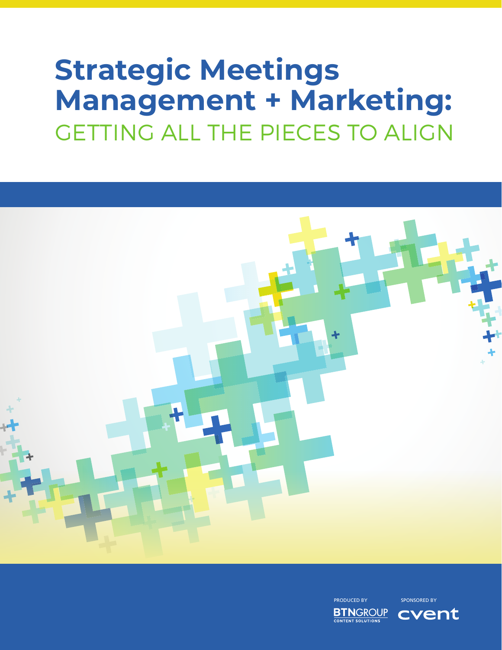# **Strategic Meetings Management + Marketing:** GETTING ALL THE PIECES TO ALIGN



PRODUCED BY SPONSORED BY

**BTNGROUP CONTENT SOLUTIONS** 

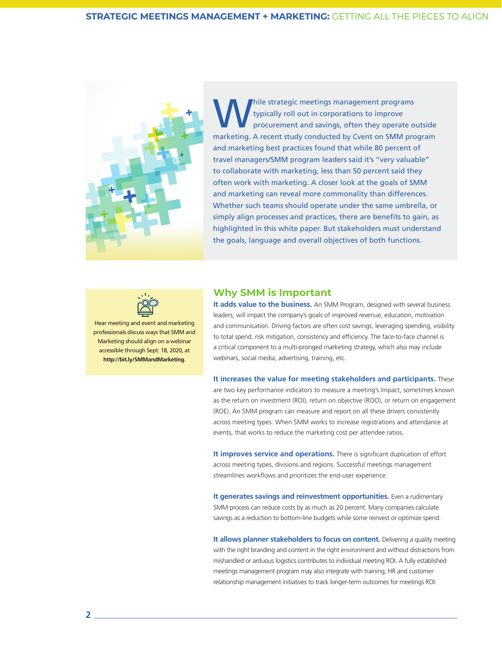

While strategic meetings management programs<br>typically roll out in corporations to improve<br>procurement and savings, often they operate of<br>maximum and savings often they operate of typically roll out in corporations to improve procurement and savings, often they operate outside marketing. A recent study conducted by Cvent on SMM program and marketing best practices found that while 80 percent of travel managers/SMM program leaders said it's "very valuable" to collaborate with marketing, less than 50 percent said they often work with marketing. A closer look at the goals of SMM and marketing can reveal more commonality than differences. Whether such teams should operate under the same umbrella, or simply align processes and practices, there are benefits to gain, as highlighted in this white paper. But stakeholders must understand the goals, language and overall objectives of both functions.



Hear meeting and event and marketing professionals discuss ways that SMM and Marketing should align on a webinar accessible through Sept. 18, 2020, at **http://bit.ly/SMMandMarketing**.

### **Why SMM is Important**

**It adds value to the business.** An SMM Program, designed with several business leaders, will impact the company's goals of improved revenue, education, motivation and communication. Driving factors are often cost savings, leveraging spending, visibility to total spend, risk mitigation, consistency and efficiency. The face-to-face channel is a critical component to a multi-pronged marketing strategy, which also may include webinars, social media, advertising, training, etc.

**It increases the value for meeting stakeholders and participants.** These are two key performance indicators to measure a meeting's impact, sometimes known as the return on investment (ROI), return on objective (ROO), or return on engagement (ROE). An SMM program can measure and report on all these drivers consistently across meeting types. When SMM works to increase registrations and attendance at events, that works to reduce the marketing cost per attendee ratios.

**It improves service and operations.** There is significant duplication of effort across meeting types, divisions and regions. Successful meetings management streamlines workflows and prioritizes the end-user experience.

**It generates savings and reinvestment opportunities.** Even a rudimentary SMM process can reduce costs by as much as 20 percent. Many companies calculate savings as a reduction to bottom-line budgets while some reinvest or optimize spend.

**It allows planner stakeholders to focus on content.** Delivering a quality meeting with the right branding and content in the right environment and without distractions from mishandled or arduous logistics contributes to individual meeting ROI. A fully established meetings management program may also integrate with training, HR and customer relationship management initiatives to track longer-term outcomes for meetings ROI.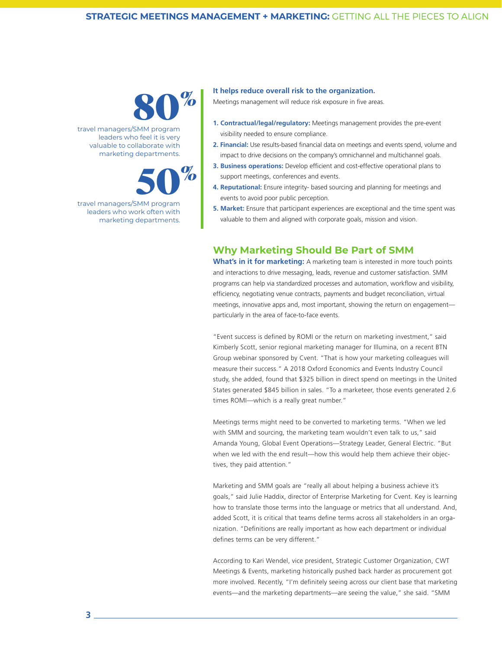

travel managers/SMM program leaders who feel it is very valuable to collaborate with marketing departments.



travel managers/SMM program leaders who work often with marketing departments.

#### **It helps reduce overall risk to the organization.**

Meetings management will reduce risk exposure in five areas.

- **1. Contractual/legal/regulatory:** Meetings management provides the pre-event visibility needed to ensure compliance.
- **2. Financial:** Use results-based financial data on meetings and events spend, volume and impact to drive decisions on the company's omnichannel and multichannel goals.
- **3. Business operations:** Develop efficient and cost-effective operational plans to support meetings, conferences and events.
- **4. Reputational:** Ensure integrity- based sourcing and planning for meetings and events to avoid poor public perception.
- **5. Market:** Ensure that participant experiences are exceptional and the time spent was valuable to them and aligned with corporate goals, mission and vision.

## **Why Marketing Should Be Part of SMM**

**What's in it for marketing:** A marketing team is interested in more touch points and interactions to drive messaging, leads, revenue and customer satisfaction. SMM programs can help via standardized processes and automation, workflow and visibility, efficiency, negotiating venue contracts, payments and budget reconciliation, virtual meetings, innovative apps and, most important, showing the return on engagement particularly in the area of face-to-face events.

"Event success is defined by ROMI or the return on marketing investment," said Kimberly Scott, senior regional marketing manager for Illumina, on a recent BTN Group webinar sponsored by Cvent. "That is how your marketing colleagues will measure their success." A 2018 Oxford Economics and Events Industry Council study, she added, found that \$325 billion in direct spend on meetings in the United States generated \$845 billion in sales. "To a marketeer, those events generated 2.6 times ROMI—which is a really great number."

Meetings terms might need to be converted to marketing terms. "When we led with SMM and sourcing, the marketing team wouldn't even talk to us," said Amanda Young, Global Event Operations—Strategy Leader, General Electric. "But when we led with the end result—how this would help them achieve their objectives, they paid attention."

Marketing and SMM goals are "really all about helping a business achieve it's goals," said Julie Haddix, director of Enterprise Marketing for Cvent. Key is learning how to translate those terms into the language or metrics that all understand. And, added Scott, it is critical that teams define terms across all stakeholders in an organization. "Definitions are really important as how each department or individual defines terms can be very different."

According to Kari Wendel, vice president, Strategic Customer Organization, CWT Meetings & Events, marketing historically pushed back harder as procurement got more involved. Recently, "I'm definitely seeing across our client base that marketing events—and the marketing departments—are seeing the value," she said. "SMM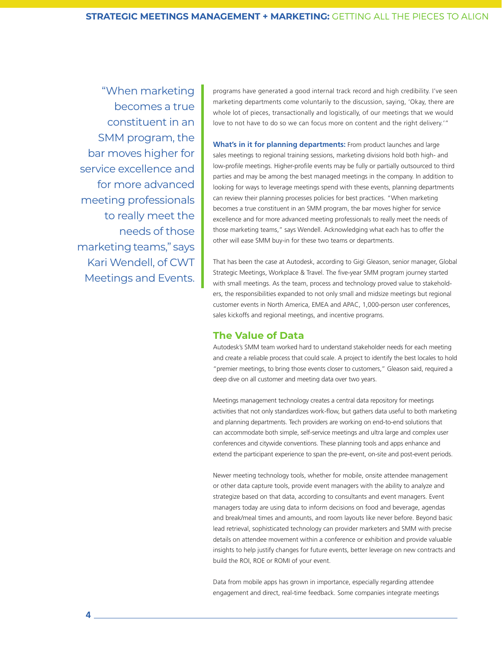"When marketing becomes a true constituent in an SMM program, the bar moves higher for service excellence and for more advanced meeting professionals to really meet the needs of those marketing teams," says Kari Wendell, of CWT Meetings and Events.

programs have generated a good internal track record and high credibility. I've seen marketing departments come voluntarily to the discussion, saying, 'Okay, there are whole lot of pieces, transactionally and logistically, of our meetings that we would love to not have to do so we can focus more on content and the right delivery.'"

**What's in it for planning departments:** From product launches and large sales meetings to regional training sessions, marketing divisions hold both high- and low-profile meetings. Higher-profile events may be fully or partially outsourced to third parties and may be among the best managed meetings in the company. In addition to looking for ways to leverage meetings spend with these events, planning departments can review their planning processes policies for best practices. "When marketing becomes a true constituent in an SMM program, the bar moves higher for service excellence and for more advanced meeting professionals to really meet the needs of those marketing teams," says Wendell. Acknowledging what each has to offer the other will ease SMM buy-in for these two teams or departments.

That has been the case at Autodesk, according to Gigi Gleason, senior manager, Global Strategic Meetings, Workplace & Travel. The five-year SMM program journey started with small meetings. As the team, process and technology proved value to stakeholders, the responsibilities expanded to not only small and midsize meetings but regional customer events in North America, EMEA and APAC, 1,000-person user conferences, sales kickoffs and regional meetings, and incentive programs.

## **The Value of Data**

Autodesk's SMM team worked hard to understand stakeholder needs for each meeting and create a reliable process that could scale. A project to identify the best locales to hold "premier meetings, to bring those events closer to customers," Gleason said, required a deep dive on all customer and meeting data over two years.

Meetings management technology creates a central data repository for meetings activities that not only standardizes work-flow, but gathers data useful to both marketing and planning departments. Tech providers are working on end-to-end solutions that can accommodate both simple, self-service meetings and ultra large and complex user conferences and citywide conventions. These planning tools and apps enhance and extend the participant experience to span the pre-event, on-site and post-event periods.

Newer meeting technology tools, whether for mobile, onsite attendee management or other data capture tools, provide event managers with the ability to analyze and strategize based on that data, according to consultants and event managers. Event managers today are using data to inform decisions on food and beverage, agendas and break/meal times and amounts, and room layouts like never before. Beyond basic lead retrieval, sophisticated technology can provider marketers and SMM with precise details on attendee movement within a conference or exhibition and provide valuable insights to help justify changes for future events, better leverage on new contracts and build the ROI, ROE or ROMI of your event.

Data from mobile apps has grown in importance, especially regarding attendee engagement and direct, real-time feedback. Some companies integrate meetings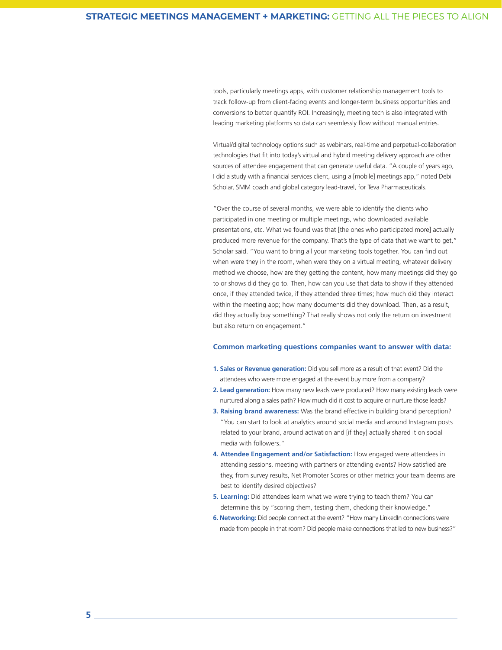tools, particularly meetings apps, with customer relationship management tools to track follow-up from client-facing events and longer-term business opportunities and conversions to better quantify ROI. Increasingly, meeting tech is also integrated with leading marketing platforms so data can seemlessly flow without manual entries.

Virtual/digital technology options such as webinars, real-time and perpetual-collaboration technologies that fit into today's virtual and hybrid meeting delivery approach are other sources of attendee engagement that can generate useful data. "A couple of years ago, I did a study with a financial services client, using a [mobile] meetings app," noted Debi Scholar, SMM coach and global category lead-travel, for Teva Pharmaceuticals.

"Over the course of several months, we were able to identify the clients who participated in one meeting or multiple meetings, who downloaded available presentations, etc. What we found was that [the ones who participated more] actually produced more revenue for the company. That's the type of data that we want to get," Scholar said. "You want to bring all your marketing tools together. You can find out when were they in the room, when were they on a virtual meeting, whatever delivery method we choose, how are they getting the content, how many meetings did they go to or shows did they go to. Then, how can you use that data to show if they attended once, if they attended twice, if they attended three times; how much did they interact within the meeting app; how many documents did they download. Then, as a result, did they actually buy something? That really shows not only the return on investment but also return on engagement."

#### **Common marketing questions companies want to answer with data:**

- **1. Sales or Revenue generation:** Did you sell more as a result of that event? Did the attendees who were more engaged at the event buy more from a company?
- **2. Lead generation:** How many new leads were produced? How many existing leads were nurtured along a sales path? How much did it cost to acquire or nurture those leads?
- **3. Raising brand awareness:** Was the brand effective in building brand perception? "You can start to look at analytics around social media and around Instagram posts related to your brand, around activation and [if they] actually shared it on social media with followers."
- **4. Attendee Engagement and/or Satisfaction:** How engaged were attendees in attending sessions, meeting with partners or attending events? How satisfied are they, from survey results, Net Promoter Scores or other metrics your team deems are best to identify desired objectives?
- **5. Learning:** Did attendees learn what we were trying to teach them? You can determine this by "scoring them, testing them, checking their knowledge."
- **6. Networking:** Did people connect at the event? "How many LinkedIn connections were made from people in that room? Did people make connections that led to new business?"

**5**